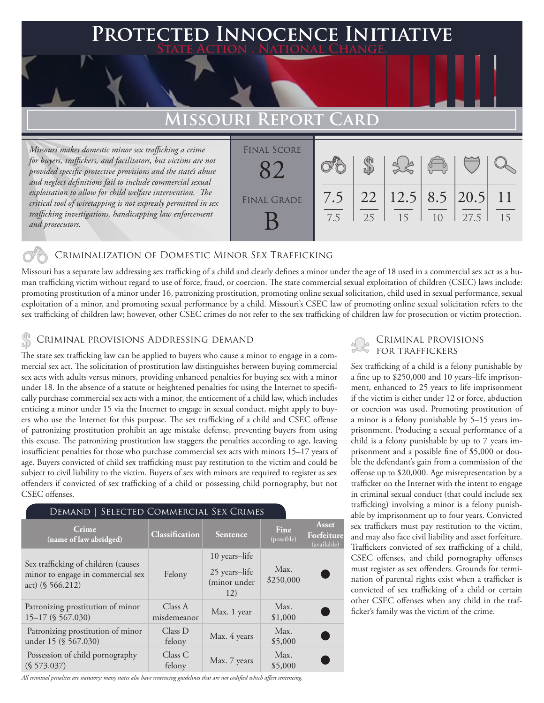### **PTED INNOCENCE INITIATIVE State Action . National Change.**

### **Missouri Report Card**

*Missouri makes domestic minor sex trafficking a crime for buyers, traffickers, and facilitators, but victims are not provided specific protective provisions and the state's abuse and neglect definitions fail to include commercial sexual exploitation to allow for child welfare intervention. The critical tool of wiretapping is not expressly permitted in sex trafficking investigations, handicapping law enforcement and prosecutors.*

| <b>FINAL SCORE</b> |            |          |                       | $\begin{pmatrix} 0 & 0 \\ 0 & 0 \end{pmatrix}$ |      |                       |
|--------------------|------------|----------|-----------------------|------------------------------------------------|------|-----------------------|
| <b>FINAL GRADE</b> | 7.5<br>7.5 | 22<br>25 | $12.5$ 8.5 20.5<br>15 | 1 <sub>0</sub>                                 | 27.5 | $\overline{11}$<br>15 |

### Criminalization of Domestic Minor Sex Trafficking

Missouri has a separate law addressing sex trafficking of a child and clearly defines a minor under the age of 18 used in a commercial sex act as a human trafficking victim without regard to use of force, fraud, or coercion. The state commercial sexual exploitation of children (CSEC) laws include: promoting prostitution of a minor under 16, patronizing prostitution, promoting online sexual solicitation, child used in sexual performance, sexual exploitation of a minor, and promoting sexual performance by a child. Missouri's CSEC law of promoting online sexual solicitation refers to the sex trafficking of children law; however, other CSEC crimes do not refer to the sex trafficking of children law for prosecution or victim protection.

# CRIMINAL PROVISIONS ADDRESSING DEMAND<br>The state sex trafficking law can be english to buyer who cause a minor to angress in a sem

The state sex trafficking law can be applied to buyers who cause a minor to engage in a commercial sex act. The solicitation of prostitution law distinguishes between buying commercial sex acts with adults versus minors, providing enhanced penalties for buying sex with a minor under 18. In the absence of a statute or heightened penalties for using the Internet to specifically purchase commercial sex acts with a minor, the enticement of a child law, which includes enticing a minor under 15 via the Internet to engage in sexual conduct, might apply to buyers who use the Internet for this purpose. The sex trafficking of a child and CSEC offense of patronizing prostitution prohibit an age mistake defense, preventing buyers from using this excuse. The patronizing prostitution law staggers the penalties according to age, leaving insufficient penalties for those who purchase commercial sex acts with minors 15–17 years of age. Buyers convicted of child sex trafficking must pay restitution to the victim and could be subject to civil liability to the victim. Buyers of sex with minors are required to register as sex offenders if convicted of sex trafficking of a child or possessing child pornography, but not CSEC offenses.

#### Demand | Selected Commercial Sex Crimes

| Crime<br>(name of law abridged)                                                                | Classification         | Sentence                             | Fine<br>(possible) | Asset<br>Forfeiture<br>(available) |
|------------------------------------------------------------------------------------------------|------------------------|--------------------------------------|--------------------|------------------------------------|
|                                                                                                | Felony                 | 10 years-life                        |                    |                                    |
| Sex trafficking of children (causes<br>minor to engage in commercial sex<br>act) $(S 566.212)$ |                        | 25 years-life<br>(minor under<br>12) | Max.<br>\$250,000  |                                    |
| Patronizing prostitution of minor<br>$15-17$ (§ 567.030)                                       | Class A<br>misdemeanor | Max. 1 year                          | Max.<br>\$1,000    |                                    |
| Patronizing prostitution of minor<br>under 15 (§ 567.030)                                      | Class D<br>felony      | Max. 4 years                         | Max.<br>\$5,000    |                                    |
| Possession of child pornography<br>(S 573.037)                                                 | Class C<br>felony      | Max. 7 years                         | Max.<br>\$5,000    |                                    |

*All criminal penalties are statutory; many states also have sentencing guidelines that are not codified which affect sentencing.* 

Sex trafficking of a child is a felony punishable by a fine up to \$250,000 and 10 years–life imprisonment, enhanced to 25 years to life imprisonment if the victim is either under 12 or force, abduction or coercion was used. Promoting prostitution of a minor is a felony punishable by 5–15 years imprisonment. Producing a sexual performance of a child is a felony punishable by up to 7 years imprisonment and a possible fine of \$5,000 or double the defendant's gain from a commission of the offense up to \$20,000. Age misrepresentation by a trafficker on the Internet with the intent to engage in criminal sexual conduct (that could include sex trafficking) involving a minor is a felony punishable by imprisonment up to four years. Convicted sex traffickers must pay restitution to the victim, and may also face civil liability and asset forfeiture. Traffickers convicted of sex trafficking of a child, CSEC offenses, and child pornography offenses must register as sex offenders. Grounds for termination of parental rights exist when a trafficker is convicted of sex trafficking of a child or certain other CSEC offenses when any child in the trafficker's family was the victim of the crime.